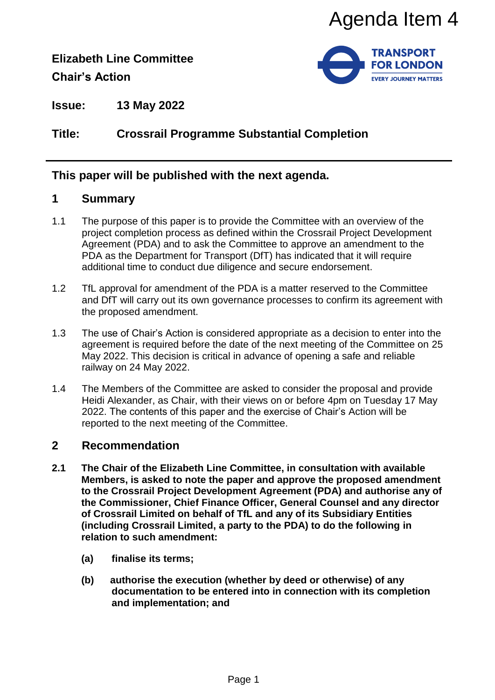**Elizabeth Line Committee Chair's Action**



**Issue: 13 May 2022**

# **Title: Crossrail Programme Substantial Completion**

## **This paper will be published with the next agenda.**

#### **1 Summary**

- 1.1 The purpose of this paper is to provide the Committee with an overview of the project completion process as defined within the Crossrail Project Development Agreement (PDA) and to ask the Committee to approve an amendment to the PDA as the Department for Transport (DfT) has indicated that it will require additional time to conduct due diligence and secure endorsement.
- 1.2 TfL approval for amendment of the PDA is a matter reserved to the Committee and DfT will carry out its own governance processes to confirm its agreement with the proposed amendment.
- 1.3 The use of Chair's Action is considered appropriate as a decision to enter into the agreement is required before the date of the next meeting of the Committee on 25 May 2022. This decision is critical in advance of opening a safe and reliable railway on 24 May 2022.
- 1.4 The Members of the Committee are asked to consider the proposal and provide Heidi Alexander, as Chair, with their views on or before 4pm on Tuesday 17 May 2022. The contents of this paper and the exercise of Chair's Action will be reported to the next meeting of the Committee.

## **2 Recommendation**

- **2.1 The Chair of the Elizabeth Line Committee, in consultation with available Members, is asked to note the paper and approve the proposed amendment to the Crossrail Project Development Agreement (PDA) and authorise any of the Commissioner, Chief Finance Officer, General Counsel and any director of Crossrail Limited on behalf of TfL and any of its Subsidiary Entities (including Crossrail Limited, a party to the PDA) to do the following in relation to such amendment:**  Agenda Item 4<br>
FRANSPORT<br>
FRANSPORT<br>
FOR LONDOM<br>
FOR LONDOM<br>
FOR LONDOM<br>
FOR LONDOM<br>
FOR LONDOM<br>
TOWER FRANSPORT<br>
COMINIBE to approve an amendment to the<br>
COMINIBE COMINE CONDICATION<br>
COMING THE CONSIDERATED (OFT) has indi
	- **(a) finalise its terms;**
	- **(b) authorise the execution (whether by deed or otherwise) of any documentation to be entered into in connection with its completion and implementation; and**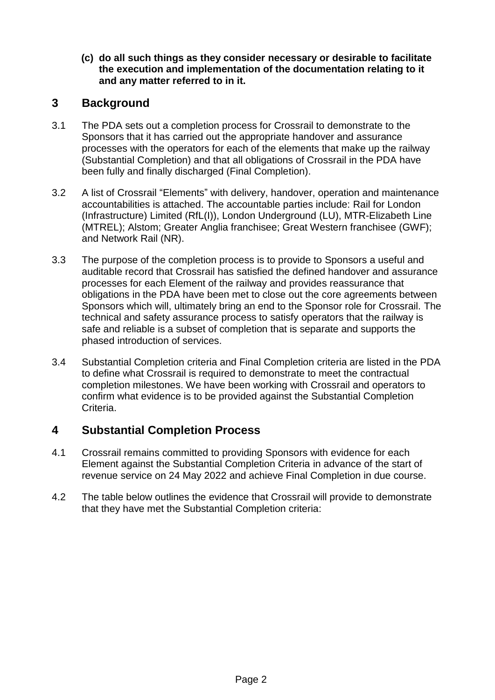**(c) do all such things as they consider necessary or desirable to facilitate the execution and implementation of the documentation relating to it and any matter referred to in it.**

## **3 Background**

- 3.1 The PDA sets out a completion process for Crossrail to demonstrate to the Sponsors that it has carried out the appropriate handover and assurance processes with the operators for each of the elements that make up the railway (Substantial Completion) and that all obligations of Crossrail in the PDA have been fully and finally discharged (Final Completion).
- 3.2 A list of Crossrail "Elements" with delivery, handover, operation and maintenance accountabilities is attached. The accountable parties include: Rail for London (Infrastructure) Limited (RfL(I)), London Underground (LU), MTR-Elizabeth Line (MTREL); Alstom; Greater Anglia franchisee; Great Western franchisee (GWF); and Network Rail (NR).
- 3.3 The purpose of the completion process is to provide to Sponsors a useful and auditable record that Crossrail has satisfied the defined handover and assurance processes for each Element of the railway and provides reassurance that obligations in the PDA have been met to close out the core agreements between Sponsors which will, ultimately bring an end to the Sponsor role for Crossrail. The technical and safety assurance process to satisfy operators that the railway is safe and reliable is a subset of completion that is separate and supports the phased introduction of services.
- 3.4 Substantial Completion criteria and Final Completion criteria are listed in the PDA to define what Crossrail is required to demonstrate to meet the contractual completion milestones. We have been working with Crossrail and operators to confirm what evidence is to be provided against the Substantial Completion Criteria.

# **4 Substantial Completion Process**

- 4.1 Crossrail remains committed to providing Sponsors with evidence for each Element against the Substantial Completion Criteria in advance of the start of revenue service on 24 May 2022 and achieve Final Completion in due course.
- 4.2 The table below outlines the evidence that Crossrail will provide to demonstrate that they have met the Substantial Completion criteria: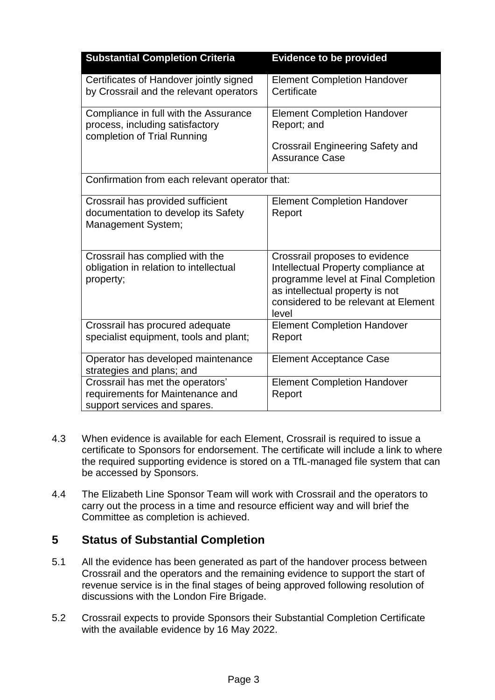| <b>Substantial Completion Criteria</b>                                                                  | <b>Evidence to be provided</b>                                                                                                                                                                   |  |  |  |  |
|---------------------------------------------------------------------------------------------------------|--------------------------------------------------------------------------------------------------------------------------------------------------------------------------------------------------|--|--|--|--|
| Certificates of Handover jointly signed<br>by Crossrail and the relevant operators                      | <b>Element Completion Handover</b><br>Certificate                                                                                                                                                |  |  |  |  |
| Compliance in full with the Assurance<br>process, including satisfactory<br>completion of Trial Running | <b>Element Completion Handover</b><br>Report; and<br><b>Crossrail Engineering Safety and</b><br><b>Assurance Case</b>                                                                            |  |  |  |  |
| Confirmation from each relevant operator that:                                                          |                                                                                                                                                                                                  |  |  |  |  |
| Crossrail has provided sufficient<br>documentation to develop its Safety<br><b>Management System;</b>   | <b>Element Completion Handover</b><br>Report                                                                                                                                                     |  |  |  |  |
| Crossrail has complied with the<br>obligation in relation to intellectual<br>property;                  | Crossrail proposes to evidence<br>Intellectual Property compliance at<br>programme level at Final Completion<br>as intellectual property is not<br>considered to be relevant at Element<br>level |  |  |  |  |
| Crossrail has procured adequate<br>specialist equipment, tools and plant;                               | <b>Element Completion Handover</b><br>Report                                                                                                                                                     |  |  |  |  |
| Operator has developed maintenance<br>strategies and plans; and                                         | <b>Element Acceptance Case</b>                                                                                                                                                                   |  |  |  |  |
| Crossrail has met the operators'<br>requirements for Maintenance and<br>support services and spares.    | <b>Element Completion Handover</b><br>Report                                                                                                                                                     |  |  |  |  |

- 4.3 When evidence is available for each Element, Crossrail is required to issue a certificate to Sponsors for endorsement. The certificate will include a link to where the required supporting evidence is stored on a TfL-managed file system that can be accessed by Sponsors.
- 4.4 The Elizabeth Line Sponsor Team will work with Crossrail and the operators to carry out the process in a time and resource efficient way and will brief the Committee as completion is achieved.

## **5 Status of Substantial Completion**

- 5.1 All the evidence has been generated as part of the handover process between Crossrail and the operators and the remaining evidence to support the start of revenue service is in the final stages of being approved following resolution of discussions with the London Fire Brigade.
- 5.2 Crossrail expects to provide Sponsors their Substantial Completion Certificate with the available evidence by 16 May 2022.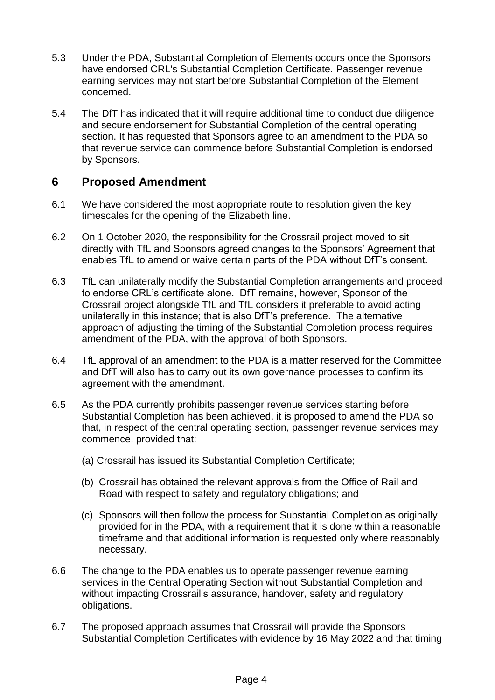- 5.3 Under the PDA, Substantial Completion of Elements occurs once the Sponsors have endorsed CRL's Substantial Completion Certificate. Passenger revenue earning services may not start before Substantial Completion of the Element concerned.
- 5.4 The DfT has indicated that it will require additional time to conduct due diligence and secure endorsement for Substantial Completion of the central operating section. It has requested that Sponsors agree to an amendment to the PDA so that revenue service can commence before Substantial Completion is endorsed by Sponsors.

# **6 Proposed Amendment**

- 6.1 We have considered the most appropriate route to resolution given the key timescales for the opening of the Elizabeth line.
- 6.2 On 1 October 2020, the responsibility for the Crossrail project moved to sit directly with TfL and Sponsors agreed changes to the Sponsors' Agreement that enables TfL to amend or waive certain parts of the PDA without DfT's consent.
- 6.3 TfL can unilaterally modify the Substantial Completion arrangements and proceed to endorse CRL's certificate alone. DfT remains, however, Sponsor of the Crossrail project alongside TfL and TfL considers it preferable to avoid acting unilaterally in this instance; that is also DfT's preference. The alternative approach of adjusting the timing of the Substantial Completion process requires amendment of the PDA, with the approval of both Sponsors.
- 6.4 TfL approval of an amendment to the PDA is a matter reserved for the Committee and DfT will also has to carry out its own governance processes to confirm its agreement with the amendment.
- 6.5 As the PDA currently prohibits passenger revenue services starting before Substantial Completion has been achieved, it is proposed to amend the PDA so that, in respect of the central operating section, passenger revenue services may commence, provided that:
	- (a) Crossrail has issued its Substantial Completion Certificate;
	- (b) Crossrail has obtained the relevant approvals from the Office of Rail and Road with respect to safety and regulatory obligations; and
	- (c) Sponsors will then follow the process for Substantial Completion as originally provided for in the PDA, with a requirement that it is done within a reasonable timeframe and that additional information is requested only where reasonably necessary.
- 6.6 The change to the PDA enables us to operate passenger revenue earning services in the Central Operating Section without Substantial Completion and without impacting Crossrail's assurance, handover, safety and regulatory obligations.
- 6.7 The proposed approach assumes that Crossrail will provide the Sponsors Substantial Completion Certificates with evidence by 16 May 2022 and that timing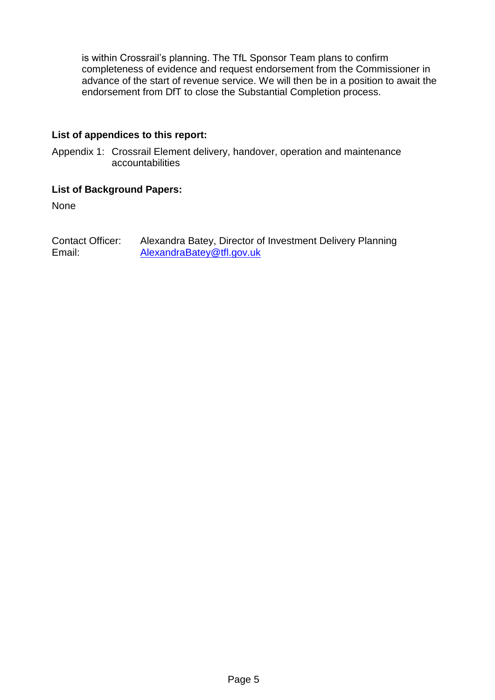is within Crossrail's planning. The TfL Sponsor Team plans to confirm completeness of evidence and request endorsement from the Commissioner in advance of the start of revenue service. We will then be in a position to await the endorsement from DfT to close the Substantial Completion process.

#### **List of appendices to this report:**

Appendix 1: Crossrail Element delivery, handover, operation and maintenance accountabilities

#### **List of Background Papers:**

None

Contact Officer: Alexandra Batey, Director of Investment Delivery Planning Email: [AlexandraBatey@tfl.gov.uk](mailto:AlexandraBatey@tfl.gov.uk)